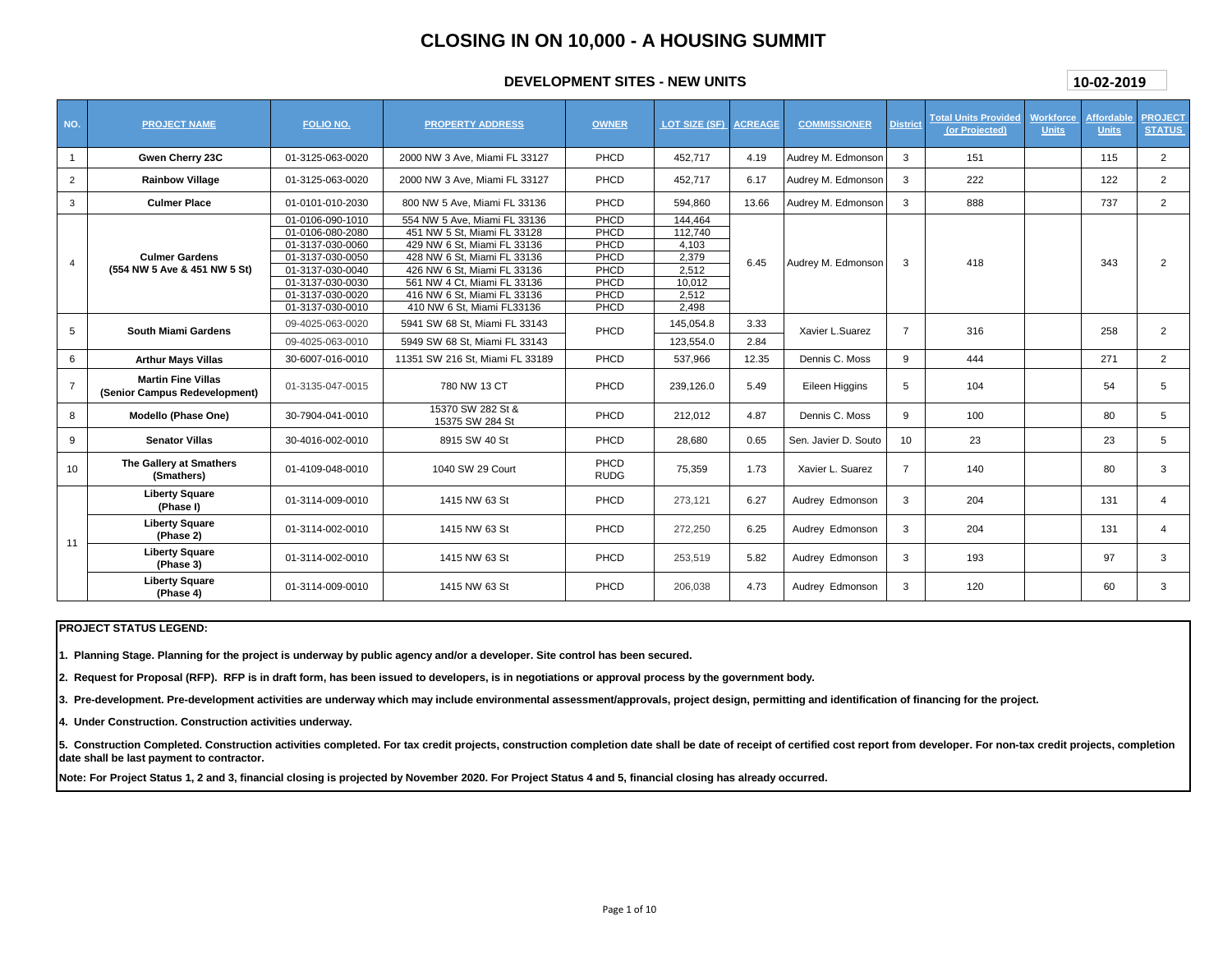# **CLOSING IN ON 10,000 - A HOUSING SUMMIT**

# **DEVELOPMENT SITES - NEW UNITS**

| 10-02-2019 |  |
|------------|--|
|            |  |

| NO.            | <b>PROJECT NAME</b>                                        | <b>FOLIO NO.</b> | <b>PROPERTY ADDRESS</b>              | <b>OWNER</b>        | <b>LOT SIZE (SF) ACREAGE</b> |       | <b>COMMISSIONER</b>  | <b>District</b> | <b>Total Units Provided</b><br>(or Projected) | Workforce<br><b>Units</b> | Affordable<br><b>Units</b> | <b>PROJECT</b><br><b>STATUS</b> |
|----------------|------------------------------------------------------------|------------------|--------------------------------------|---------------------|------------------------------|-------|----------------------|-----------------|-----------------------------------------------|---------------------------|----------------------------|---------------------------------|
| $\mathbf{1}$   | Gwen Cherry 23C                                            | 01-3125-063-0020 | 2000 NW 3 Ave. Miami FL 33127        | PHCD                | 452.717                      | 4.19  | Audrey M. Edmonson   | 3               | 151                                           |                           | 115                        | $\overline{2}$                  |
| $\overline{2}$ | <b>Rainbow Village</b>                                     | 01-3125-063-0020 | 2000 NW 3 Ave. Miami FL 33127        | PHCD                | 452.717                      | 6.17  | Audrey M. Edmonson   | 3               | 222                                           |                           | 122                        | $\overline{2}$                  |
| 3              | <b>Culmer Place</b>                                        | 01-0101-010-2030 | 800 NW 5 Ave, Miami FL 33136         | PHCD                | 594,860                      | 13.66 | Audrey M. Edmonson   | 3               | 888                                           |                           | 737                        | $\overline{2}$                  |
|                |                                                            | 01-0106-090-1010 | 554 NW 5 Ave, Miami FL 33136         | PHCD                | 144,464                      |       |                      |                 |                                               |                           |                            |                                 |
|                |                                                            | 01-0106-080-2080 | 451 NW 5 St, Miami FL 33128          | PHCD                | 112,740                      |       |                      |                 |                                               |                           |                            |                                 |
|                |                                                            | 01-3137-030-0060 | 429 NW 6 St, Miami FL 33136          | PHCD                | 4,103                        |       |                      |                 |                                               |                           |                            |                                 |
| $\overline{4}$ | <b>Culmer Gardens</b>                                      | 01-3137-030-0050 | 428 NW 6 St. Miami FL 33136          | PHCD                | 2,379                        |       |                      | 3               | 418                                           |                           | 343                        | $\overline{2}$                  |
|                | (554 NW 5 Ave & 451 NW 5 St)                               | 01-3137-030-0040 | 426 NW 6 St, Miami FL 33136          | PHCD                | 2,512                        | 6.45  | Audrey M. Edmonson   |                 |                                               |                           |                            |                                 |
|                |                                                            | 01-3137-030-0030 | 561 NW 4 Ct, Miami FL 33136          | PHCD                | 10,012                       |       |                      |                 |                                               |                           |                            |                                 |
|                |                                                            | 01-3137-030-0020 | 416 NW 6 St, Miami FL 33136          | PHCD                | 2,512                        |       |                      |                 |                                               |                           |                            |                                 |
|                |                                                            | 01-3137-030-0010 | 410 NW 6 St, Miami FL33136           | PHCD                | 2,498                        |       |                      |                 |                                               |                           |                            |                                 |
|                | <b>South Miami Gardens</b>                                 | 09-4025-063-0020 | 5941 SW 68 St. Miami FL 33143        | PHCD                | 145.054.8                    | 3.33  | Xavier L.Suarez      | $\overline{7}$  | 316                                           |                           | 258                        | 2                               |
| 5              |                                                            | 09-4025-063-0010 | 5949 SW 68 St. Miami FL 33143        |                     | 123,554.0                    | 2.84  |                      |                 |                                               |                           |                            |                                 |
| 6              | <b>Arthur Mays Villas</b>                                  | 30-6007-016-0010 | 11351 SW 216 St. Miami FL 33189      | PHCD                | 537.966                      | 12.35 | Dennis C. Moss       | 9               | 444                                           |                           | 271                        | $\overline{2}$                  |
| $\overline{7}$ | <b>Martin Fine Villas</b><br>(Senior Campus Redevelopment) | 01-3135-047-0015 | 780 NW 13 CT                         | PHCD                | 239.126.0                    | 5.49  | Eileen Higgins       | 5               | 104                                           |                           | 54                         | 5                               |
| 8              | Modello (Phase One)                                        | 30-7904-041-0010 | 15370 SW 282 St &<br>15375 SW 284 St | PHCD                | 212,012                      | 4.87  | Dennis C. Moss       | 9               | 100                                           |                           | 80                         | 5                               |
| 9              | <b>Senator Villas</b>                                      | 30-4016-002-0010 | 8915 SW 40 St                        | PHCD                | 28,680                       | 0.65  | Sen. Javier D. Souto | 10              | 23                                            |                           | 23                         | 5                               |
| 10             | The Gallery at Smathers<br>(Smathers)                      | 01-4109-048-0010 | 1040 SW 29 Court                     | PHCD<br><b>RUDG</b> | 75,359                       | 1.73  | Xavier L. Suarez     | $\overline{7}$  | 140                                           |                           | 80                         | 3                               |
|                | <b>Liberty Square</b><br>(Phase I)                         | 01-3114-009-0010 | 1415 NW 63 St                        | PHCD                | 273,121                      | 6.27  | Audrey Edmonson      | 3               | 204                                           |                           | 131                        | $\overline{4}$                  |
| 11             | <b>Liberty Square</b><br>(Phase 2)                         | 01-3114-002-0010 | 1415 NW 63 St                        | PHCD                | 272,250                      | 6.25  | Audrey Edmonson      | 3               | 204                                           |                           | 131                        | 4                               |
|                | <b>Liberty Square</b><br>(Phase 3)                         | 01-3114-002-0010 | 1415 NW 63 St                        | PHCD                | 253,519                      | 5.82  | Audrey Edmonson      | 3               | 193                                           |                           | 97                         | 3                               |
|                | <b>Liberty Square</b><br>(Phase 4)                         | 01-3114-009-0010 | 1415 NW 63 St                        | PHCD                | 206,038                      | 4.73  | Audrey Edmonson      | 3               | 120                                           |                           | 60                         | 3                               |

#### **PROJECT STATUS LEGEND:**

**1. Planning Stage. Planning for the project is underway by public agency and/or a developer. Site control has been secured.**

**2. Request for Proposal (RFP). RFP is in draft form, has been issued to developers, is in negotiations or approval process by the government body.**

**3. Pre-development. Pre-development activities are underway which may include environmental assessment/approvals, project design, permitting and identification of financing for the project.**

**4. Under Construction. Construction activities underway.**

5. Construction Completed. Construction activities completed. For tax credit projects, construction completion date shall be date of receipt of certified cost report from developer. For non-tax credit projects, completion **date shall be last payment to contractor.**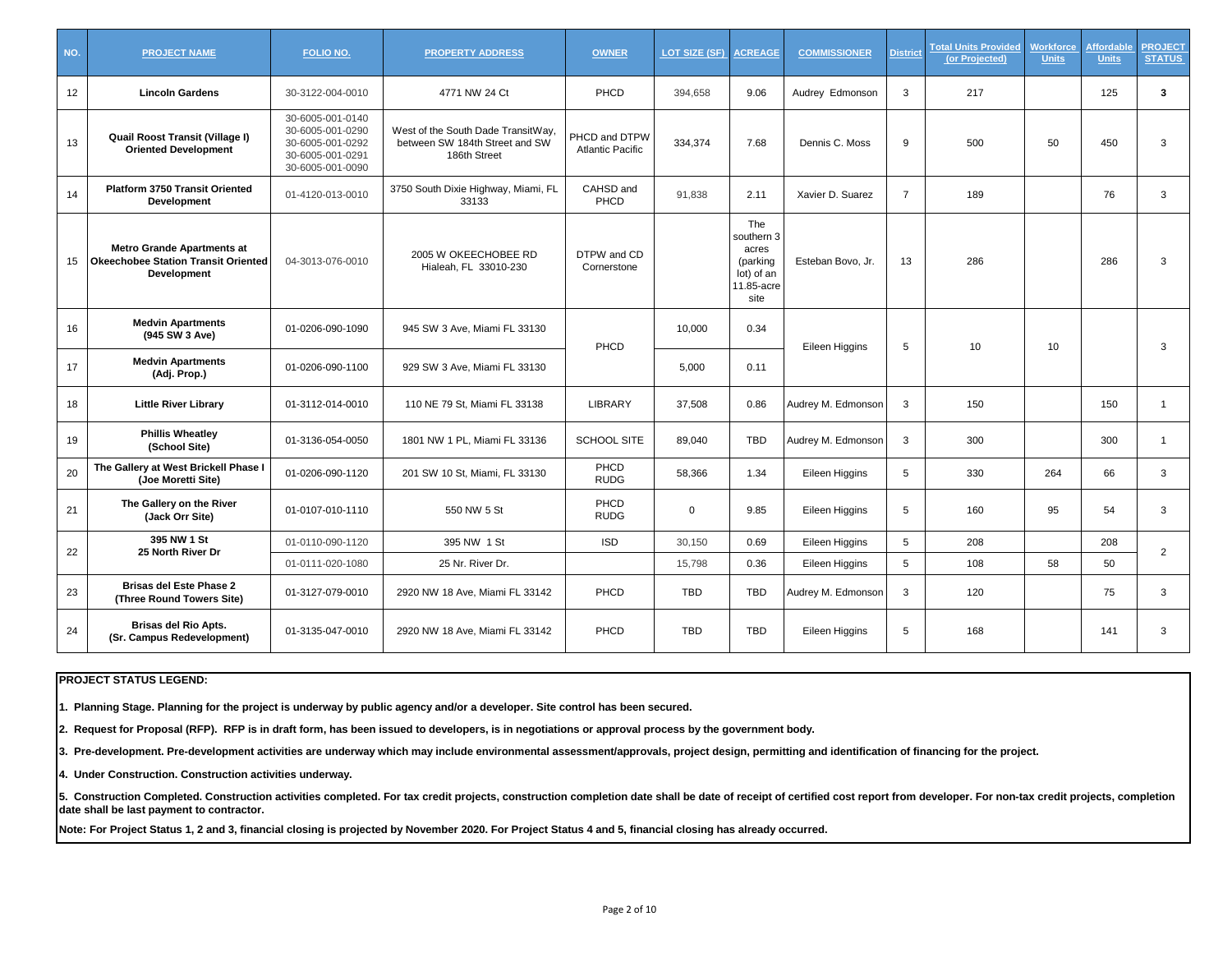| NO. | <b>PROJECT NAME</b>                                                                            | <b>FOLIO NO.</b>                                                                                 | <b>PROPERTY ADDRESS</b>                                                              | <b>OWNER</b>                             | LOT SIZE (SF) | <b>ACREAGE</b>                                                             | <b>COMMISSIONER</b> | <b>District</b> | <b>Total Units Provided</b><br>(or Projected) | Workforce<br><b>Units</b> | <b>Affordable</b><br><b>Units</b> | <b>PROJECT</b><br><b>STATUS</b> |
|-----|------------------------------------------------------------------------------------------------|--------------------------------------------------------------------------------------------------|--------------------------------------------------------------------------------------|------------------------------------------|---------------|----------------------------------------------------------------------------|---------------------|-----------------|-----------------------------------------------|---------------------------|-----------------------------------|---------------------------------|
| 12  | <b>Lincoln Gardens</b>                                                                         | 30-3122-004-0010                                                                                 | 4771 NW 24 Ct                                                                        | PHCD                                     | 394,658       | 9.06                                                                       | Audrey Edmonson     | 3               | 217                                           |                           | 125                               | 3                               |
| 13  | Quail Roost Transit (Village I)<br><b>Oriented Development</b>                                 | 30-6005-001-0140<br>30-6005-001-0290<br>30-6005-001-0292<br>30-6005-001-0291<br>30-6005-001-0090 | West of the South Dade TransitWay,<br>between SW 184th Street and SW<br>186th Street | PHCD and DTPW<br><b>Atlantic Pacific</b> | 334,374       | 7.68                                                                       | Dennis C. Moss      | 9               | 500                                           | 50                        | 450                               | 3                               |
| 14  | <b>Platform 3750 Transit Oriented</b><br><b>Development</b>                                    | 01-4120-013-0010                                                                                 | 3750 South Dixie Highway, Miami, FL<br>33133                                         | CAHSD and<br>PHCD                        | 91,838        | 2.11                                                                       | Xavier D. Suarez    | $\overline{7}$  | 189                                           |                           | 76                                | 3                               |
| 15  | <b>Metro Grande Apartments at</b><br>Okeechobee Station Transit Oriented<br><b>Development</b> | 04-3013-076-0010                                                                                 | 2005 W OKEECHOBEE RD<br>Hialeah, FL 33010-230                                        | DTPW and CD<br>Cornerstone               |               | The<br>southern 3<br>acres<br>(parking<br>lot) of an<br>11.85-acre<br>site | Esteban Bovo, Jr.   | 13              | 286                                           |                           | 286                               | 3                               |
| 16  | <b>Medvin Apartments</b><br>(945 SW 3 Ave)                                                     | 01-0206-090-1090                                                                                 | 945 SW 3 Ave, Miami FL 33130                                                         | PHCD                                     | 10.000        | 0.34                                                                       |                     | 5               | 10                                            | 10                        |                                   | 3                               |
| 17  | <b>Medvin Apartments</b><br>(Adj. Prop.)                                                       | 01-0206-090-1100                                                                                 | 929 SW 3 Ave, Miami FL 33130                                                         |                                          | 5,000         | 0.11                                                                       | Eileen Higgins      |                 |                                               |                           |                                   |                                 |
| 18  | <b>Little River Library</b>                                                                    | 01-3112-014-0010                                                                                 | 110 NE 79 St, Miami FL 33138                                                         | <b>LIBRARY</b>                           | 37,508        | 0.86                                                                       | Audrey M. Edmonson  | 3               | 150                                           |                           | 150                               | $\mathbf{1}$                    |
| 19  | <b>Phillis Wheatlev</b><br>(School Site)                                                       | 01-3136-054-0050                                                                                 | 1801 NW 1 PL, Miami FL 33136                                                         | <b>SCHOOL SITE</b>                       | 89.040        | <b>TBD</b>                                                                 | Audrey M. Edmonson  | 3               | 300                                           |                           | 300                               | $\mathbf{1}$                    |
| 20  | The Gallery at West Brickell Phase I<br>(Joe Moretti Site)                                     | 01-0206-090-1120                                                                                 | 201 SW 10 St, Miami, FL 33130                                                        | PHCD<br><b>RUDG</b>                      | 58,366        | 1.34                                                                       | Eileen Higgins      | 5               | 330                                           | 264                       | 66                                | 3                               |
| 21  | The Gallery on the River<br>(Jack Orr Site)                                                    | 01-0107-010-1110                                                                                 | 550 NW 5 St                                                                          | PHCD<br><b>RUDG</b>                      | $\mathbf 0$   | 9.85                                                                       | Eileen Higgins      | 5               | 160                                           | 95                        | 54                                | 3                               |
| 22  | 395 NW 1 St<br>25 North River Dr                                                               | 01-0110-090-1120                                                                                 | 395 NW 1 St                                                                          | <b>ISD</b>                               | 30,150        | 0.69                                                                       | Eileen Higgins      | 5               | 208                                           |                           | 208                               | $\overline{2}$                  |
|     |                                                                                                | 01-0111-020-1080                                                                                 | 25 Nr. River Dr.                                                                     |                                          | 15.798        | 0.36                                                                       | Eileen Higgins      | 5               | 108                                           | 58                        | 50                                |                                 |
| 23  | <b>Brisas del Este Phase 2</b><br>(Three Round Towers Site)                                    | 01-3127-079-0010                                                                                 | 2920 NW 18 Ave, Miami FL 33142                                                       | PHCD                                     | TBD           | <b>TBD</b>                                                                 | Audrey M. Edmonson  | 3               | 120                                           |                           | 75                                | 3                               |
| 24  | <b>Brisas del Rio Apts.</b><br>(Sr. Campus Redevelopment)                                      | 01-3135-047-0010                                                                                 | 2920 NW 18 Ave, Miami FL 33142                                                       | PHCD                                     | <b>TBD</b>    | <b>TBD</b>                                                                 | Eileen Higgins      | 5               | 168                                           |                           | 141                               | 3                               |

**1. Planning Stage. Planning for the project is underway by public agency and/or a developer. Site control has been secured.**

**2. Request for Proposal (RFP). RFP is in draft form, has been issued to developers, is in negotiations or approval process by the government body.**

**3. Pre-development. Pre-development activities are underway which may include environmental assessment/approvals, project design, permitting and identification of financing for the project.**

**4. Under Construction. Construction activities underway.**

5. Construction Completed. Construction activities completed. For tax credit projects, construction completion date shall be date of receipt of certified cost report from developer. For non-tax credit projects, completion **date shall be last payment to contractor.**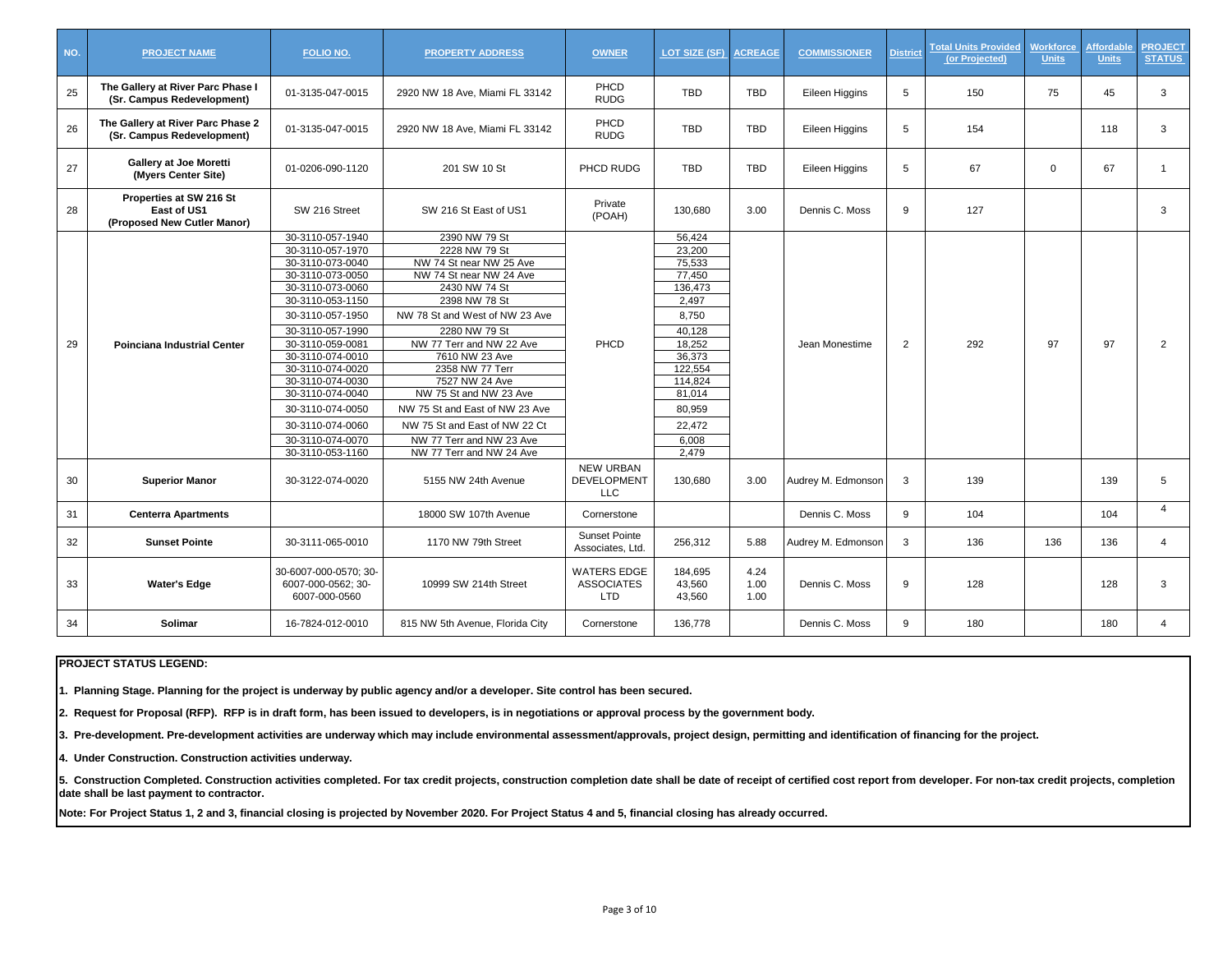| NO. | <b>PROJECT NAME</b>                                                   | FOLIO NO.                                                                                                                                                                                                                                                                                                                                        | <b>PROPERTY ADDRESS</b>                                                                                                                                                                                                                                                                                                                                                                                           | <b>OWNER</b>                                          | LOT SIZE (SF)                                                                                                                                                         | <b>ACREAGE</b>       | <b>COMMISSIONER</b> | <b>District</b> | <b>Total Units Provided</b><br>(or Projected) | <b>Workforce</b><br><b>Units</b> | <b>Affordable</b><br><b>Units</b> | <b>PROJECT</b><br><b>STATUS</b> |
|-----|-----------------------------------------------------------------------|--------------------------------------------------------------------------------------------------------------------------------------------------------------------------------------------------------------------------------------------------------------------------------------------------------------------------------------------------|-------------------------------------------------------------------------------------------------------------------------------------------------------------------------------------------------------------------------------------------------------------------------------------------------------------------------------------------------------------------------------------------------------------------|-------------------------------------------------------|-----------------------------------------------------------------------------------------------------------------------------------------------------------------------|----------------------|---------------------|-----------------|-----------------------------------------------|----------------------------------|-----------------------------------|---------------------------------|
| 25  | The Gallery at River Parc Phase I<br>(Sr. Campus Redevelopment)       | 01-3135-047-0015                                                                                                                                                                                                                                                                                                                                 | 2920 NW 18 Ave, Miami FL 33142                                                                                                                                                                                                                                                                                                                                                                                    | PHCD<br><b>RUDG</b>                                   | <b>TBD</b>                                                                                                                                                            | <b>TBD</b>           | Eileen Higgins      | 5               | 150                                           | 75                               | 45                                | 3                               |
| 26  | The Gallery at River Parc Phase 2<br>(Sr. Campus Redevelopment)       | 01-3135-047-0015                                                                                                                                                                                                                                                                                                                                 | 2920 NW 18 Ave, Miami FL 33142                                                                                                                                                                                                                                                                                                                                                                                    | PHCD<br><b>RUDG</b>                                   | <b>TBD</b>                                                                                                                                                            | <b>TBD</b>           | Eileen Higgins      | 5               | 154                                           |                                  | 118                               | 3                               |
| 27  | <b>Gallery at Joe Moretti</b><br>(Myers Center Site)                  | 01-0206-090-1120                                                                                                                                                                                                                                                                                                                                 | 201 SW 10 St                                                                                                                                                                                                                                                                                                                                                                                                      | PHCD RUDG                                             | <b>TBD</b>                                                                                                                                                            | <b>TBD</b>           | Eileen Higgins      | 5               | 67                                            | $\Omega$                         | 67                                |                                 |
| 28  | Properties at SW 216 St<br>East of US1<br>(Proposed New Cutler Manor) | SW 216 Street                                                                                                                                                                                                                                                                                                                                    | SW 216 St East of US1                                                                                                                                                                                                                                                                                                                                                                                             | Private<br>(POAH)                                     | 130.680                                                                                                                                                               | 3.00                 | Dennis C. Moss      | 9               | 127                                           |                                  |                                   | 3                               |
| 29  | <b>Poinciana Industrial Center</b>                                    | 30-3110-057-1940<br>30-3110-057-1970<br>30-3110-073-0040<br>30-3110-073-0050<br>30-3110-073-0060<br>30-3110-053-1150<br>30-3110-057-1950<br>30-3110-057-1990<br>30-3110-059-0081<br>30-3110-074-0010<br>30-3110-074-0020<br>30-3110-074-0030<br>30-3110-074-0040<br>30-3110-074-0050<br>30-3110-074-0060<br>30-3110-074-0070<br>30-3110-053-1160 | 2390 NW 79 St<br>2228 NW 79 St<br>NW 74 St near NW 25 Ave<br>NW 74 St near NW 24 Ave<br>2430 NW 74 St<br>2398 NW 78 St<br>NW 78 St and West of NW 23 Ave<br>2280 NW 79 St<br>NW 77 Terr and NW 22 Ave<br>7610 NW 23 Ave<br>2358 NW 77 Terr<br>7527 NW 24 Ave<br>NW 75 St and NW 23 Ave<br>NW 75 St and East of NW 23 Ave<br>NW 75 St and East of NW 22 Ct<br>NW 77 Terr and NW 23 Ave<br>NW 77 Terr and NW 24 Ave | PHCD                                                  | 56,424<br>23,200<br>75,533<br>77,450<br>136,473<br>2.497<br>8,750<br>40.128<br>18,252<br>36,373<br>122,554<br>114,824<br>81,014<br>80.959<br>22,472<br>6.008<br>2.479 |                      | Jean Monestime      | $\overline{2}$  | 292                                           | 97                               | 97                                | $\overline{2}$                  |
| 30  | <b>Superior Manor</b>                                                 | 30-3122-074-0020                                                                                                                                                                                                                                                                                                                                 | 5155 NW 24th Avenue                                                                                                                                                                                                                                                                                                                                                                                               | <b>NEW URBAN</b><br><b>DEVELOPMENT</b><br><b>LLC</b>  | 130,680                                                                                                                                                               | 3.00                 | Audrey M. Edmonson  | 3               | 139                                           |                                  | 139                               | 5                               |
| 31  | <b>Centerra Apartments</b>                                            |                                                                                                                                                                                                                                                                                                                                                  | 18000 SW 107th Avenue                                                                                                                                                                                                                                                                                                                                                                                             | Cornerstone                                           |                                                                                                                                                                       |                      | Dennis C. Moss      | 9               | 104                                           |                                  | 104                               | $\overline{4}$                  |
| 32  | <b>Sunset Pointe</b>                                                  | 30-3111-065-0010                                                                                                                                                                                                                                                                                                                                 | 1170 NW 79th Street                                                                                                                                                                                                                                                                                                                                                                                               | <b>Sunset Pointe</b><br>Associates, Ltd.              | 256,312                                                                                                                                                               | 5.88                 | Audrey M. Edmonson  | 3               | 136                                           | 136                              | 136                               | $\overline{4}$                  |
| 33  | <b>Water's Edge</b>                                                   | 30-6007-000-0570; 30-<br>6007-000-0562; 30-<br>6007-000-0560                                                                                                                                                                                                                                                                                     | 10999 SW 214th Street                                                                                                                                                                                                                                                                                                                                                                                             | <b>WATERS EDGE</b><br><b>ASSOCIATES</b><br><b>LTD</b> | 184,695<br>43,560<br>43.560                                                                                                                                           | 4.24<br>1.00<br>1.00 | Dennis C. Moss      | 9               | 128                                           |                                  | 128                               | 3                               |
| 34  | Solimar                                                               | 16-7824-012-0010                                                                                                                                                                                                                                                                                                                                 | 815 NW 5th Avenue, Florida City                                                                                                                                                                                                                                                                                                                                                                                   | Cornerstone                                           | 136,778                                                                                                                                                               |                      | Dennis C. Moss      | 9               | 180                                           |                                  | 180                               | 4                               |

**1. Planning Stage. Planning for the project is underway by public agency and/or a developer. Site control has been secured.**

**2. Request for Proposal (RFP). RFP is in draft form, has been issued to developers, is in negotiations or approval process by the government body.**

**3. Pre-development. Pre-development activities are underway which may include environmental assessment/approvals, project design, permitting and identification of financing for the project.**

**4. Under Construction. Construction activities underway.**

5. Construction Completed. Construction activities completed. For tax credit projects, construction completion date shall be date of receipt of certified cost report from developer. For non-tax credit projects, completion **date shall be last payment to contractor.**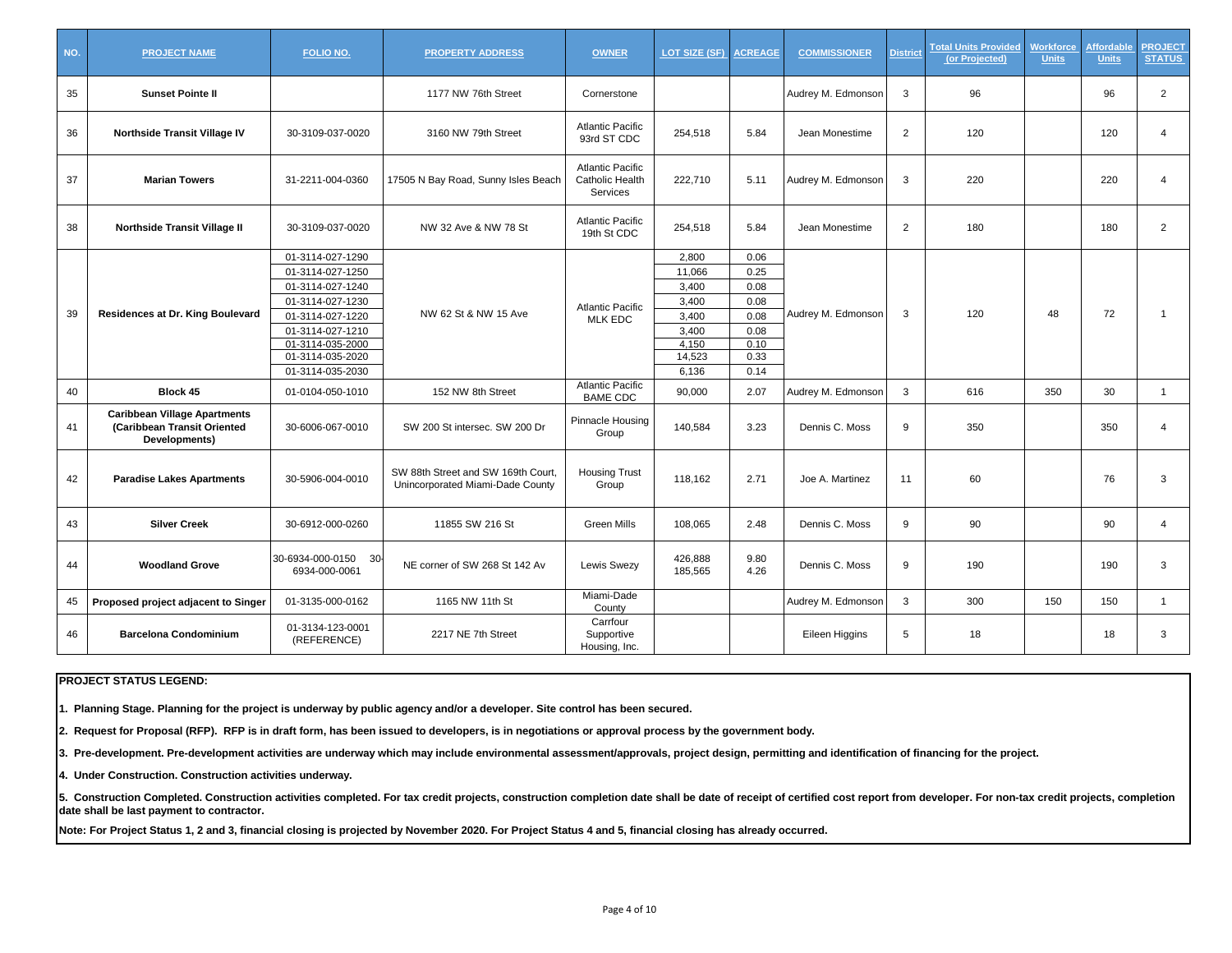| NO. | <b>PROJECT NAME</b>                                                                 | FOLIO NO.                                            | <b>PROPERTY ADDRESS</b>                                                                                                                                                                                                     | <b>OWNER</b>                                           | LOT SIZE (SF)      | <b>ACREAGE</b> | <b>COMMISSIONER</b> | <b>District</b> | <b>Total Units Provided</b><br>(or Projected) | <b>Norkforce</b><br><b>Units</b> | <b>Affordable</b><br><b>Units</b> | <b>PROJECT</b><br><b>STATUS</b> |
|-----|-------------------------------------------------------------------------------------|------------------------------------------------------|-----------------------------------------------------------------------------------------------------------------------------------------------------------------------------------------------------------------------------|--------------------------------------------------------|--------------------|----------------|---------------------|-----------------|-----------------------------------------------|----------------------------------|-----------------------------------|---------------------------------|
| 35  | <b>Sunset Pointe II</b>                                                             |                                                      | 1177 NW 76th Street                                                                                                                                                                                                         | Cornerstone                                            |                    |                | Audrey M. Edmonson  | 3               | 96                                            |                                  | 96                                | $\overline{2}$                  |
| 36  | Northside Transit Village IV                                                        | 30-3109-037-0020                                     | 3160 NW 79th Street                                                                                                                                                                                                         | <b>Atlantic Pacific</b><br>93rd ST CDC                 | 254,518            | 5.84           | Jean Monestime      | $\overline{2}$  | 120                                           |                                  | 120                               | 4                               |
| 37  | <b>Marian Towers</b>                                                                | 31-2211-004-0360                                     | 17505 N Bay Road, Sunny Isles Beach                                                                                                                                                                                         | <b>Atlantic Pacific</b><br>Catholic Health<br>Services | 222,710            | 5.11           | Audrey M. Edmonson  | 3               | 220                                           |                                  | 220                               | 4                               |
| 38  | Northside Transit Village II                                                        | 30-3109-037-0020                                     | NW 32 Ave & NW 78 St                                                                                                                                                                                                        | <b>Atlantic Pacific</b><br>19th St CDC                 | 254,518            | 5.84           | Jean Monestime      | $\overline{2}$  | 180                                           |                                  | 180                               | $\overline{2}$                  |
|     |                                                                                     | 01-3114-027-1290                                     |                                                                                                                                                                                                                             |                                                        | 2,800              | 0.06           |                     |                 |                                               |                                  |                                   |                                 |
|     |                                                                                     | 01-3114-027-1250                                     |                                                                                                                                                                                                                             |                                                        | 11,066             | 0.25           |                     |                 |                                               |                                  |                                   |                                 |
|     |                                                                                     | 01-3114-027-1240                                     | NW 62 St & NW 15 Ave<br>152 NW 8th Street<br>SW 200 St intersec. SW 200 Dr<br>SW 88th Street and SW 169th Court,<br>Unincorporated Miami-Dade County<br>11855 SW 216 St<br>NE corner of SW 268 St 142 Av<br>1165 NW 11th St |                                                        | 3,400              | 0.08           |                     |                 |                                               |                                  |                                   |                                 |
|     |                                                                                     | 01-3114-027-1230                                     |                                                                                                                                                                                                                             | <b>Atlantic Pacific</b>                                | 3,400              | 0.08           |                     |                 |                                               |                                  |                                   |                                 |
| 39  | Residences at Dr. King Boulevard                                                    | 01-3114-027-1220                                     |                                                                                                                                                                                                                             | <b>MLK EDC</b>                                         | 3,400              | 0.08           | Audrey M. Edmonson  | 3               | 120                                           | 48                               | 72                                | $\mathbf{1}$                    |
|     |                                                                                     | 01-3114-027-1210                                     |                                                                                                                                                                                                                             |                                                        | 3,400              | 0.08           |                     |                 |                                               |                                  |                                   |                                 |
|     |                                                                                     | 01-3114-035-2000                                     |                                                                                                                                                                                                                             |                                                        | 4,150              | 0.10           |                     |                 |                                               |                                  |                                   |                                 |
|     |                                                                                     | 01-3114-035-2020                                     |                                                                                                                                                                                                                             |                                                        | 14,523             | 0.33           |                     |                 |                                               |                                  |                                   |                                 |
|     |                                                                                     | 01-3114-035-2030                                     |                                                                                                                                                                                                                             |                                                        | 6,136              | 0.14           |                     |                 |                                               |                                  |                                   |                                 |
| 40  | Block 45                                                                            | 01-0104-050-1010                                     |                                                                                                                                                                                                                             | <b>Atlantic Pacific</b><br><b>BAME CDC</b>             | 90,000             | 2.07           | Audrey M. Edmonson  | 3               | 616                                           | 350                              | 30                                | $\mathbf{1}$                    |
| 41  | <b>Caribbean Village Apartments</b><br>(Caribbean Transit Oriented<br>Developments) | 30-6006-067-0010                                     |                                                                                                                                                                                                                             | Pinnacle Housing<br>Group                              | 140,584            | 3.23           | Dennis C. Moss      | 9               | 350                                           |                                  | 350                               | 4                               |
| 42  | <b>Paradise Lakes Apartments</b>                                                    | 30-5906-004-0010                                     |                                                                                                                                                                                                                             | <b>Housing Trust</b><br>Group                          | 118,162            | 2.71           | Joe A. Martinez     | 11              | 60                                            |                                  | 76                                | 3                               |
| 43  | <b>Silver Creek</b>                                                                 | 30-6912-000-0260                                     |                                                                                                                                                                                                                             | <b>Green Mills</b>                                     | 108,065            | 2.48           | Dennis C. Moss      | 9               | 90                                            |                                  | 90                                | $\overline{4}$                  |
| 44  | <b>Woodland Grove</b>                                                               | 30-6934-000-0150<br>30 <sup>°</sup><br>6934-000-0061 |                                                                                                                                                                                                                             | <b>Lewis Swezy</b>                                     | 426,888<br>185,565 | 9.80<br>4.26   | Dennis C. Moss      | 9               | 190                                           |                                  | 190                               | 3                               |
| 45  | Proposed project adjacent to Singer                                                 | 01-3135-000-0162                                     |                                                                                                                                                                                                                             | Miami-Dade<br>County                                   |                    |                | Audrey M. Edmonson  | 3               | 300                                           | 150                              | 150                               | $\mathbf{1}$                    |
| 46  | <b>Barcelona Condominium</b>                                                        | 01-3134-123-0001<br>(REFERENCE)                      | 2217 NE 7th Street                                                                                                                                                                                                          | Carrfour<br>Supportive<br>Housing, Inc.                |                    |                | Eileen Higgins      | 5               | 18                                            |                                  | 18                                | 3                               |

**1. Planning Stage. Planning for the project is underway by public agency and/or a developer. Site control has been secured.**

**2. Request for Proposal (RFP). RFP is in draft form, has been issued to developers, is in negotiations or approval process by the government body.**

**3. Pre-development. Pre-development activities are underway which may include environmental assessment/approvals, project design, permitting and identification of financing for the project.**

**4. Under Construction. Construction activities underway.**

5. Construction Completed. Construction activities completed. For tax credit projects, construction completion date shall be date of receipt of certified cost report from developer. For non-tax credit projects, completion **date shall be last payment to contractor.**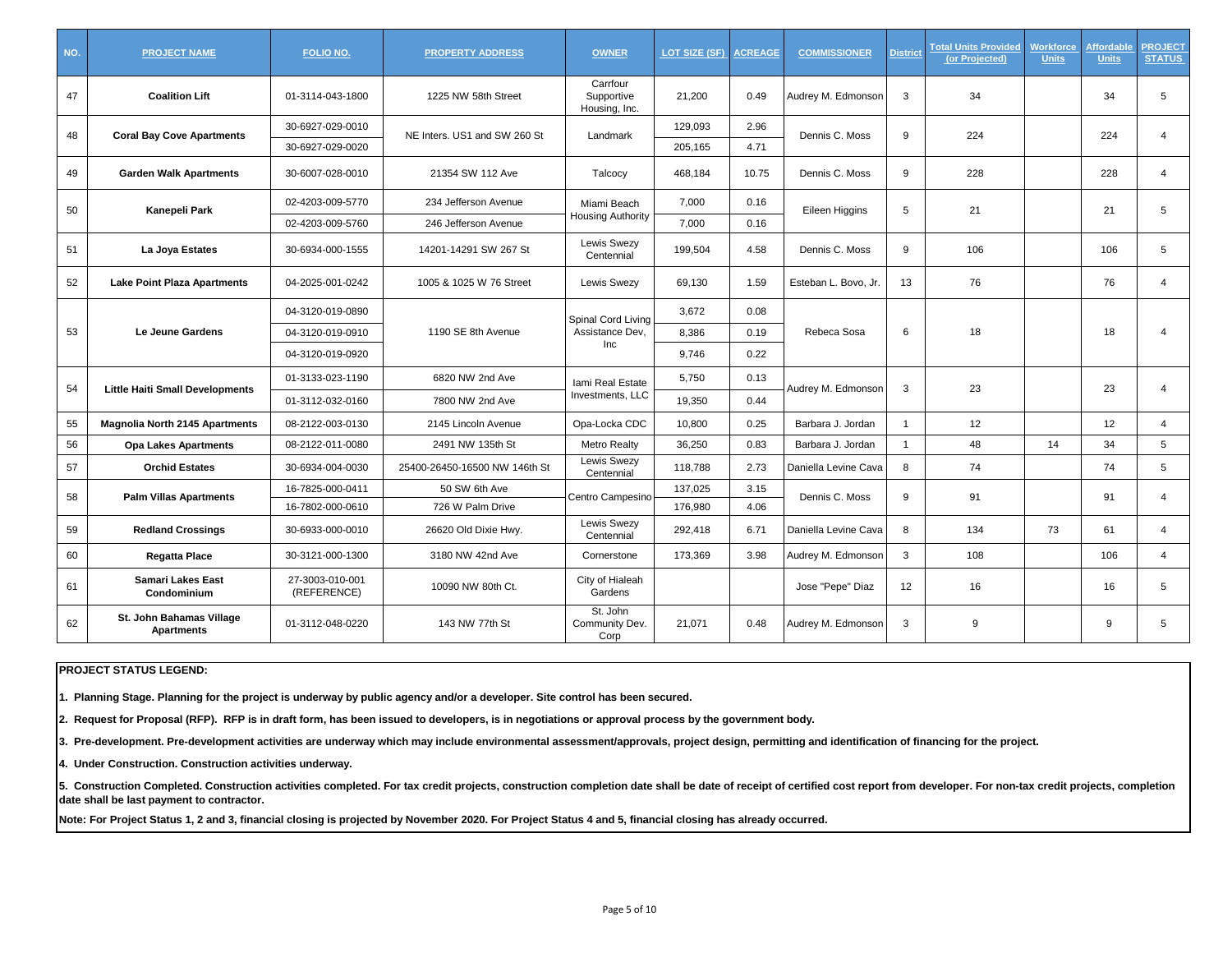| NO. | <b>PROJECT NAME</b>                           | <b>FOLIO NO.</b>               | <b>PROPERTY ADDRESS</b>       | <b>OWNER</b>                            | <b>LOT SIZE (SF) ACREAGE</b> |       | <b>COMMISSIONER</b>  | <b>District</b> | <b>Total Units Provided</b><br>(or Projected) | <b>Norkforce</b><br><b>Units</b> | <b>Affordable</b><br><b>Units</b> | <b>PROJECT</b><br><b>STATUS</b> |
|-----|-----------------------------------------------|--------------------------------|-------------------------------|-----------------------------------------|------------------------------|-------|----------------------|-----------------|-----------------------------------------------|----------------------------------|-----------------------------------|---------------------------------|
| 47  | <b>Coalition Lift</b>                         | 01-3114-043-1800               | 1225 NW 58th Street           | Carrfour<br>Supportive<br>Housing, Inc. | 21,200                       | 0.49  | Audrey M. Edmonson   | 3               | 34                                            |                                  | 34                                | 5                               |
| 48  | <b>Coral Bay Cove Apartments</b>              | 30-6927-029-0010               | NE Inters. US1 and SW 260 St  | Landmark                                | 129,093                      | 2.96  | Dennis C. Moss       | 9               | 224                                           |                                  | 224                               | 4                               |
|     |                                               | 30-6927-029-0020               |                               |                                         | 205,165                      | 4.71  |                      |                 |                                               |                                  |                                   |                                 |
| 49  | <b>Garden Walk Apartments</b>                 | 30-6007-028-0010               | 21354 SW 112 Ave              | Talcocy                                 | 468,184                      | 10.75 | Dennis C. Moss       | 9               | 228                                           |                                  | 228                               | $\overline{4}$                  |
| 50  | Kanepeli Park                                 | 02-4203-009-5770               | 234 Jefferson Avenue          | Miami Beach                             | 7,000                        | 0.16  | Eileen Higgins       | 5               | 21                                            |                                  | 21                                | 5                               |
|     |                                               | 02-4203-009-5760               | 246 Jefferson Avenue          | <b>Housing Authority</b>                | 7.000                        | 0.16  |                      |                 |                                               |                                  |                                   |                                 |
| 51  | La Joya Estates                               | 30-6934-000-1555               | 14201-14291 SW 267 St         | <b>Lewis Swezy</b><br>Centennial        | 199,504                      | 4.58  | Dennis C. Moss       | 9               | 106                                           |                                  | 106                               | 5                               |
| 52  | <b>Lake Point Plaza Apartments</b>            | 04-2025-001-0242               | 1005 & 1025 W 76 Street       | <b>Lewis Swezy</b>                      | 69,130                       | 1.59  | Esteban L. Bovo, Jr. | 13              | 76                                            |                                  | 76                                | $\overline{4}$                  |
| 53  |                                               | 04-3120-019-0890               |                               | Spinal Cord Living                      | 3.672                        | 0.08  |                      |                 |                                               |                                  |                                   |                                 |
|     | Le Jeune Gardens                              | 04-3120-019-0910               | 1190 SE 8th Avenue            | Assistance Dev,                         | 8.386                        | 0.19  | Rebeca Sosa          | 6               | 18                                            |                                  | 18                                | 4                               |
|     |                                               | 04-3120-019-0920               |                               | Inc                                     | 9,746                        | 0.22  |                      |                 |                                               |                                  |                                   |                                 |
|     |                                               | 01-3133-023-1190               | 6820 NW 2nd Ave               | Iami Real Estate                        | 5,750                        | 0.13  |                      |                 |                                               |                                  |                                   |                                 |
| 54  | <b>Little Haiti Small Developments</b>        | 01-3112-032-0160               | 7800 NW 2nd Ave               | Investments, LLC                        | 19.350                       | 0.44  | Audrey M. Edmonson   | 3               | 23                                            |                                  | 23                                | 4                               |
| 55  | <b>Magnolia North 2145 Apartments</b>         | 08-2122-003-0130               | 2145 Lincoln Avenue           | Opa-Locka CDC                           | 10,800                       | 0.25  | Barbara J. Jordan    | $\overline{1}$  | 12                                            |                                  | 12                                | $\overline{4}$                  |
| 56  | <b>Opa Lakes Apartments</b>                   | 08-2122-011-0080               | 2491 NW 135th St              | <b>Metro Realty</b>                     | 36,250                       | 0.83  | Barbara J. Jordan    | $\overline{1}$  | 48                                            | 14                               | 34                                | 5                               |
| 57  | <b>Orchid Estates</b>                         | 30-6934-004-0030               | 25400-26450-16500 NW 146th St | Lewis Swezy<br>Centennial               | 118,788                      | 2.73  | Daniella Levine Cava | 8               | 74                                            |                                  | 74                                | 5                               |
| 58  |                                               | 16-7825-000-0411               | 50 SW 6th Ave                 |                                         | 137,025                      | 3.15  | Dennis C. Moss       | 9               |                                               |                                  | 91                                | 4                               |
|     | <b>Palm Villas Apartments</b>                 | 16-7802-000-0610               | 726 W Palm Drive              | Centro Campesino                        | 176,980                      | 4.06  |                      |                 | 91                                            |                                  |                                   |                                 |
| 59  | <b>Redland Crossings</b>                      | 30-6933-000-0010               | 26620 Old Dixie Hwy.          | <b>Lewis Swezy</b><br>Centennial        | 292,418                      | 6.71  | Daniella Levine Cava | 8               | 134                                           | 73                               | 61                                | 4                               |
| 60  | Regatta Place                                 | 30-3121-000-1300               | 3180 NW 42nd Ave              | Cornerstone                             | 173,369                      | 3.98  | Audrey M. Edmonson   | 3               | 108                                           |                                  | 106                               | $\overline{4}$                  |
| 61  | Samari Lakes East<br>Condominium              | 27-3003-010-001<br>(REFERENCE) | 10090 NW 80th Ct.             | City of Hialeah<br>Gardens              |                              |       | Jose "Pepe" Diaz     | 12              | 16                                            |                                  | 16                                | 5                               |
| 62  | St. John Bahamas Village<br><b>Apartments</b> | 01-3112-048-0220               | 143 NW 77th St                | St. John<br>Community Dev.<br>Corp      | 21,071                       | 0.48  | Audrey M. Edmonson   | 3               | 9                                             |                                  | 9                                 | 5                               |

**1. Planning Stage. Planning for the project is underway by public agency and/or a developer. Site control has been secured.**

**2. Request for Proposal (RFP). RFP is in draft form, has been issued to developers, is in negotiations or approval process by the government body.**

**3. Pre-development. Pre-development activities are underway which may include environmental assessment/approvals, project design, permitting and identification of financing for the project.**

**4. Under Construction. Construction activities underway.**

5. Construction Completed. Construction activities completed. For tax credit projects, construction completion date shall be date of receipt of certified cost report from developer. For non-tax credit projects, completion **date shall be last payment to contractor.**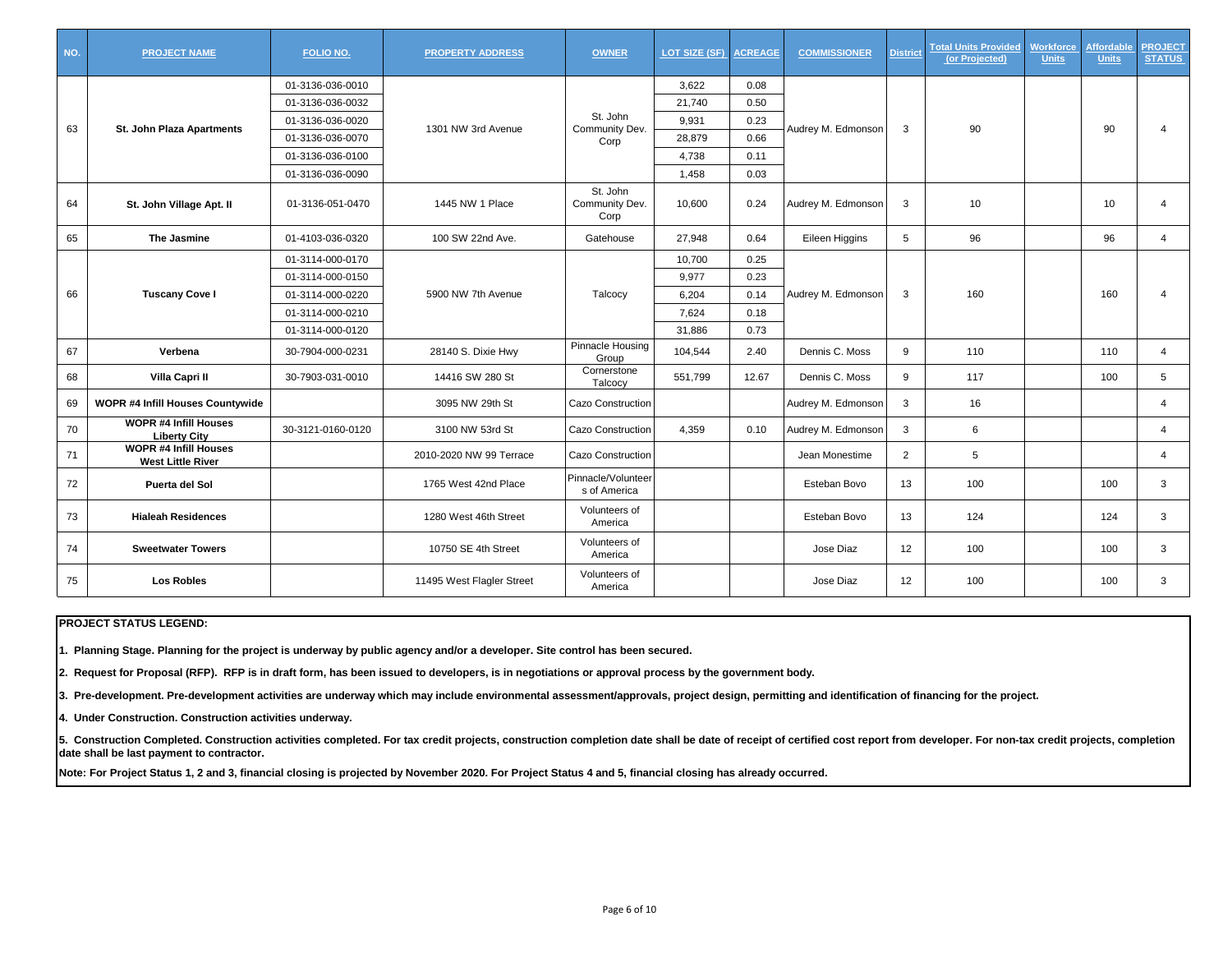| NO. | <b>PROJECT NAME</b>                                      | FOLIO NO.         | <b>PROPERTY ADDRESS</b>   | <b>OWNER</b>                       | LOT SIZE (SF) | <b>ACREAGE</b> | <b>COMMISSIONER</b> | <b>District</b> | <b>Total Units Provided</b><br>(or Projected) | <b>Norkforce</b><br><b>Units</b> | Affordable<br><b>Units</b> | <b>PROJECT</b><br><b>STATUS</b> |
|-----|----------------------------------------------------------|-------------------|---------------------------|------------------------------------|---------------|----------------|---------------------|-----------------|-----------------------------------------------|----------------------------------|----------------------------|---------------------------------|
|     |                                                          | 01-3136-036-0010  |                           |                                    | 3.622         | 0.08           |                     |                 |                                               |                                  |                            |                                 |
|     |                                                          | 01-3136-036-0032  |                           |                                    | 21,740        | 0.50           |                     |                 |                                               |                                  |                            |                                 |
| 63  | St. John Plaza Apartments                                | 01-3136-036-0020  | 1301 NW 3rd Avenue        | St. John<br>Community Dev.         | 9,931         | 0.23           | Audrey M. Edmonson  | 3               | 90                                            |                                  | 90                         | 4                               |
|     |                                                          | 01-3136-036-0070  |                           | Corp                               | 28,879        | 0.66           |                     |                 |                                               |                                  |                            |                                 |
|     |                                                          | 01-3136-036-0100  |                           |                                    | 4,738         | 0.11           |                     |                 |                                               |                                  |                            |                                 |
|     |                                                          | 01-3136-036-0090  |                           |                                    | 1,458         | 0.03           |                     |                 |                                               |                                  |                            |                                 |
| 64  | St. John Village Apt. II                                 | 01-3136-051-0470  | 1445 NW 1 Place           | St. John<br>Community Dev.<br>Corp | 10.600        | 0.24           | Audrey M. Edmonson  | 3               | 10                                            |                                  | 10                         | 4                               |
| 65  | The Jasmine                                              | 01-4103-036-0320  | 100 SW 22nd Ave.          | Gatehouse                          | 27,948        | 0.64           | Eileen Higgins      | 5               | 96                                            |                                  | 96                         | $\overline{4}$                  |
|     |                                                          | 01-3114-000-0170  |                           |                                    | 10,700        | 0.25           |                     |                 |                                               |                                  |                            |                                 |
|     |                                                          | 01-3114-000-0150  |                           |                                    | 9,977         | 0.23           |                     |                 |                                               |                                  |                            |                                 |
| 66  | <b>Tuscany Cove I</b>                                    | 01-3114-000-0220  | 5900 NW 7th Avenue        | Talcocy                            | 6,204         | 0.14           | Audrey M. Edmonson  | 3               | 160                                           |                                  | 160                        |                                 |
|     |                                                          | 01-3114-000-0210  |                           |                                    | 7,624         | 0.18           |                     |                 |                                               |                                  |                            |                                 |
|     |                                                          | 01-3114-000-0120  |                           |                                    | 31,886        | 0.73           |                     |                 |                                               |                                  |                            |                                 |
| 67  | Verbena                                                  | 30-7904-000-0231  | 28140 S. Dixie Hwy        | Pinnacle Housing<br>Group          | 104,544       | 2.40           | Dennis C. Moss      | 9               | 110                                           |                                  | 110                        | $\overline{4}$                  |
| 68  | Villa Capri II                                           | 30-7903-031-0010  | 14416 SW 280 St           | Cornerstone<br>Talcocv             | 551,799       | 12.67          | Dennis C. Moss      | 9               | 117                                           |                                  | 100                        | 5                               |
| 69  | <b>WOPR #4 Infill Houses Countywide</b>                  |                   | 3095 NW 29th St           | Cazo Construction                  |               |                | Audrey M. Edmonson  | 3               | 16                                            |                                  |                            | $\overline{4}$                  |
| 70  | <b>WOPR #4 Infill Houses</b><br><b>Liberty City</b>      | 30-3121-0160-0120 | 3100 NW 53rd St           | Cazo Construction                  | 4,359         | 0.10           | Audrey M. Edmonson  | 3               | 6                                             |                                  |                            | 4                               |
| 71  | <b>WOPR #4 Infill Houses</b><br><b>West Little River</b> |                   | 2010-2020 NW 99 Terrace   | Cazo Construction                  |               |                | Jean Monestime      | $\overline{2}$  | 5                                             |                                  |                            | 4                               |
| 72  | Puerta del Sol                                           |                   | 1765 West 42nd Place      | Pinnacle/Volunteer<br>s of America |               |                | Esteban Bovo        | 13              | 100                                           |                                  | 100                        | 3                               |
| 73  | <b>Hialeah Residences</b>                                |                   | 1280 West 46th Street     | Volunteers of<br>America           |               |                | Esteban Bovo        | 13              | 124                                           |                                  | 124                        | 3                               |
| 74  | <b>Sweetwater Towers</b>                                 |                   | 10750 SE 4th Street       | Volunteers of<br>America           |               |                | Jose Diaz           | 12              | 100                                           |                                  | 100                        | 3                               |
| 75  | <b>Los Robles</b>                                        |                   | 11495 West Flagler Street | Volunteers of<br>America           |               |                | Jose Diaz           | 12              | 100                                           |                                  | 100                        | 3                               |

**1. Planning Stage. Planning for the project is underway by public agency and/or a developer. Site control has been secured.**

**2. Request for Proposal (RFP). RFP is in draft form, has been issued to developers, is in negotiations or approval process by the government body.**

**3. Pre-development. Pre-development activities are underway which may include environmental assessment/approvals, project design, permitting and identification of financing for the project.**

**4. Under Construction. Construction activities underway.**

5. Construction Completed. Construction activities completed. For tax credit projects, construction completion date shall be date of receipt of certified cost report from developer. For non-tax credit projects, completion **date shall be last payment to contractor.**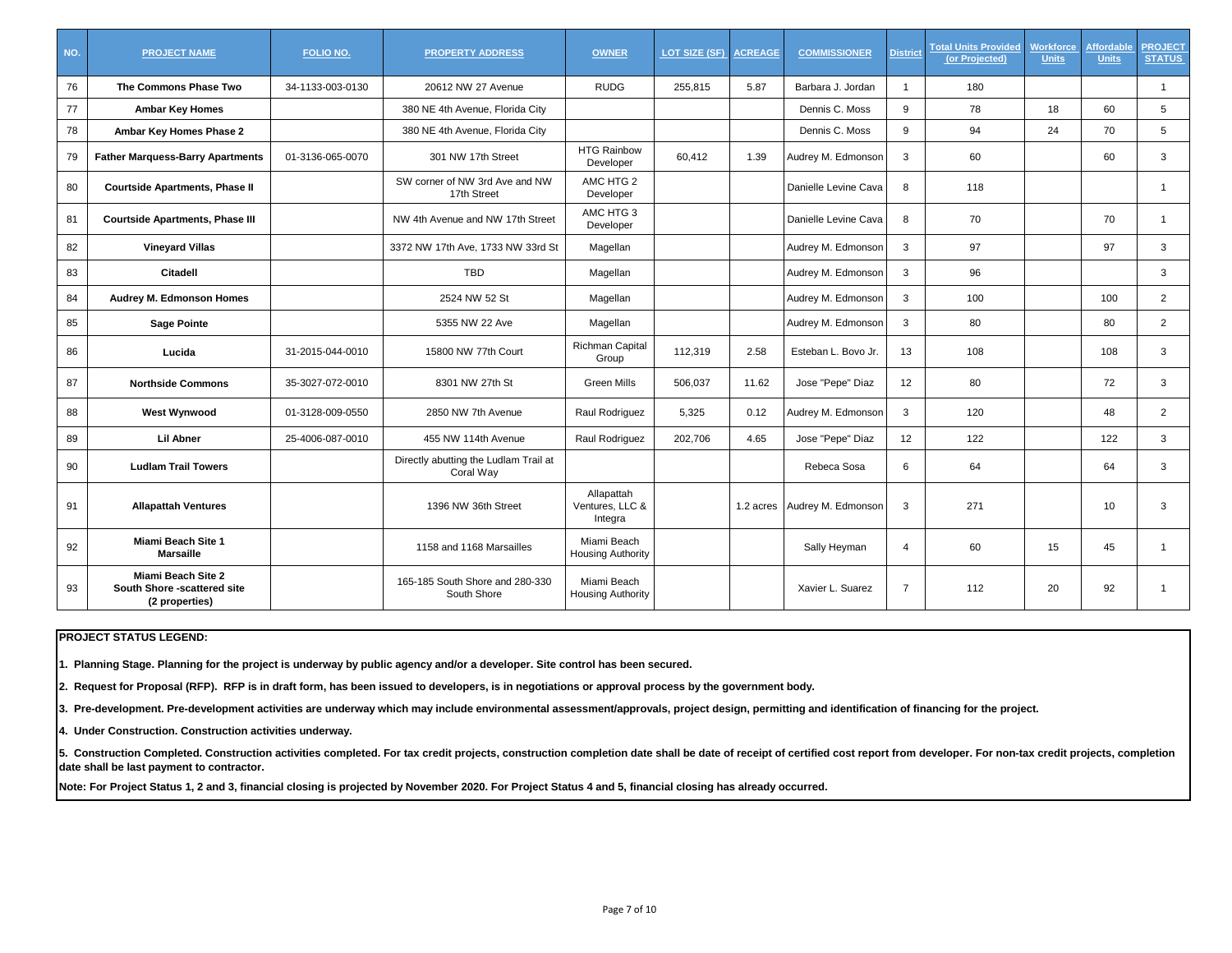| NO. | <b>PROJECT NAME</b>                                                        | <b>FOLIO NO.</b> | <b>PROPERTY ADDRESS</b>                            | <b>OWNER</b>                             | LOT SIZE (SF) | <b>ACREAGE</b> | <b>COMMISSIONER</b>          | <b>District</b> | <b>Total Units Provided</b><br>(or Projected) | <b>Workforce</b><br><b>Units</b> | <b>Affordable</b><br><b>Units</b> | <b>PROJECT</b><br><b>STATUS</b> |
|-----|----------------------------------------------------------------------------|------------------|----------------------------------------------------|------------------------------------------|---------------|----------------|------------------------------|-----------------|-----------------------------------------------|----------------------------------|-----------------------------------|---------------------------------|
| 76  | The Commons Phase Two                                                      | 34-1133-003-0130 | 20612 NW 27 Avenue                                 | <b>RUDG</b>                              | 255,815       | 5.87           | Barbara J. Jordan            | $\overline{1}$  | 180                                           |                                  |                                   | $\overline{1}$                  |
| 77  | <b>Ambar Key Homes</b>                                                     |                  | 380 NE 4th Avenue, Florida City                    |                                          |               |                | Dennis C. Moss               | 9               | 78                                            | 18                               | 60                                | 5                               |
| 78  | Ambar Key Homes Phase 2                                                    |                  | 380 NE 4th Avenue, Florida City                    |                                          |               |                | Dennis C. Moss               | 9               | 94                                            | 24                               | 70                                | 5                               |
| 79  | <b>Father Marquess-Barry Apartments</b>                                    | 01-3136-065-0070 | 301 NW 17th Street                                 | <b>HTG Rainbow</b><br>Developer          | 60,412        | 1.39           | Audrey M. Edmonson           | 3               | 60                                            |                                  | 60                                | 3                               |
| 80  | <b>Courtside Apartments, Phase II</b>                                      |                  | SW corner of NW 3rd Ave and NW<br>17th Street      | AMC HTG 2<br>Developer                   |               |                | Danielle Levine Cava         | 8               | 118                                           |                                  |                                   | $\mathbf 1$                     |
| 81  | <b>Courtside Apartments, Phase III</b>                                     |                  | NW 4th Avenue and NW 17th Street                   | AMC HTG 3<br>Developer                   |               |                | Danielle Levine Cava         | 8               | 70                                            |                                  | 70                                | $\mathbf 1$                     |
| 82  | <b>Vineyard Villas</b>                                                     |                  | 3372 NW 17th Ave, 1733 NW 33rd St                  | Magellan                                 |               |                | Audrey M. Edmonson           | 3               | 97                                            |                                  | 97                                | 3                               |
| 83  | Citadell                                                                   |                  | <b>TBD</b>                                         | Magellan                                 |               |                | Audrey M. Edmonson           | 3               | 96                                            |                                  |                                   | 3                               |
| 84  | Audrey M. Edmonson Homes                                                   |                  | 2524 NW 52 St                                      | Magellan                                 |               |                | Audrey M. Edmonson           | 3               | 100                                           |                                  | 100                               | $\overline{2}$                  |
| 85  | <b>Sage Pointe</b>                                                         |                  | 5355 NW 22 Ave                                     | Magellan                                 |               |                | Audrey M. Edmonson           | 3               | 80                                            |                                  | 80                                | $\overline{2}$                  |
| 86  | Lucida                                                                     | 31-2015-044-0010 | 15800 NW 77th Court                                | <b>Richman Capital</b><br>Group          | 112,319       | 2.58           | Esteban L. Bovo Jr.          | 13              | 108                                           |                                  | 108                               | 3                               |
| 87  | <b>Northside Commons</b>                                                   | 35-3027-072-0010 | 8301 NW 27th St                                    | <b>Green Mills</b>                       | 506,037       | 11.62          | Jose "Pepe" Diaz             | 12              | 80                                            |                                  | 72                                | 3                               |
| 88  | <b>West Wynwood</b>                                                        | 01-3128-009-0550 | 2850 NW 7th Avenue                                 | Raul Rodriguez                           | 5,325         | 0.12           | Audrey M. Edmonson           | 3               | 120                                           |                                  | 48                                | $\overline{2}$                  |
| 89  | <b>Lil Abner</b>                                                           | 25-4006-087-0010 | 455 NW 114th Avenue                                | Raul Rodriguez                           | 202,706       | 4.65           | Jose "Pepe" Diaz             | 12              | 122                                           |                                  | 122                               | 3                               |
| 90  | <b>Ludlam Trail Towers</b>                                                 |                  | Directly abutting the Ludlam Trail at<br>Coral Way |                                          |               |                | Rebeca Sosa                  | 6               | 64                                            |                                  | 64                                | 3                               |
| 91  | <b>Allapattah Ventures</b>                                                 |                  | 1396 NW 36th Street                                | Allapattah<br>Ventures, LLC &<br>Integra |               |                | 1.2 acres Audrey M. Edmonson | 3               | 271                                           |                                  | 10                                | 3                               |
| 92  | Miami Beach Site 1<br><b>Marsaille</b>                                     |                  | 1158 and 1168 Marsailles                           | Miami Beach<br><b>Housing Authority</b>  |               |                | Sally Heyman                 | $\overline{4}$  | 60                                            | 15                               | 45                                | $\mathbf 1$                     |
| 93  | <b>Miami Beach Site 2</b><br>South Shore -scattered site<br>(2 properties) |                  | 165-185 South Shore and 280-330<br>South Shore     | Miami Beach<br><b>Housing Authority</b>  |               |                | Xavier L. Suarez             | $\overline{7}$  | 112                                           | 20                               | 92                                | -1                              |

**1. Planning Stage. Planning for the project is underway by public agency and/or a developer. Site control has been secured.**

**2. Request for Proposal (RFP). RFP is in draft form, has been issued to developers, is in negotiations or approval process by the government body.**

**3. Pre-development. Pre-development activities are underway which may include environmental assessment/approvals, project design, permitting and identification of financing for the project.**

**4. Under Construction. Construction activities underway.**

5. Construction Completed. Construction activities completed. For tax credit projects, construction completion date shall be date of receipt of certified cost report from developer. For non-tax credit projects, completion **date shall be last payment to contractor.**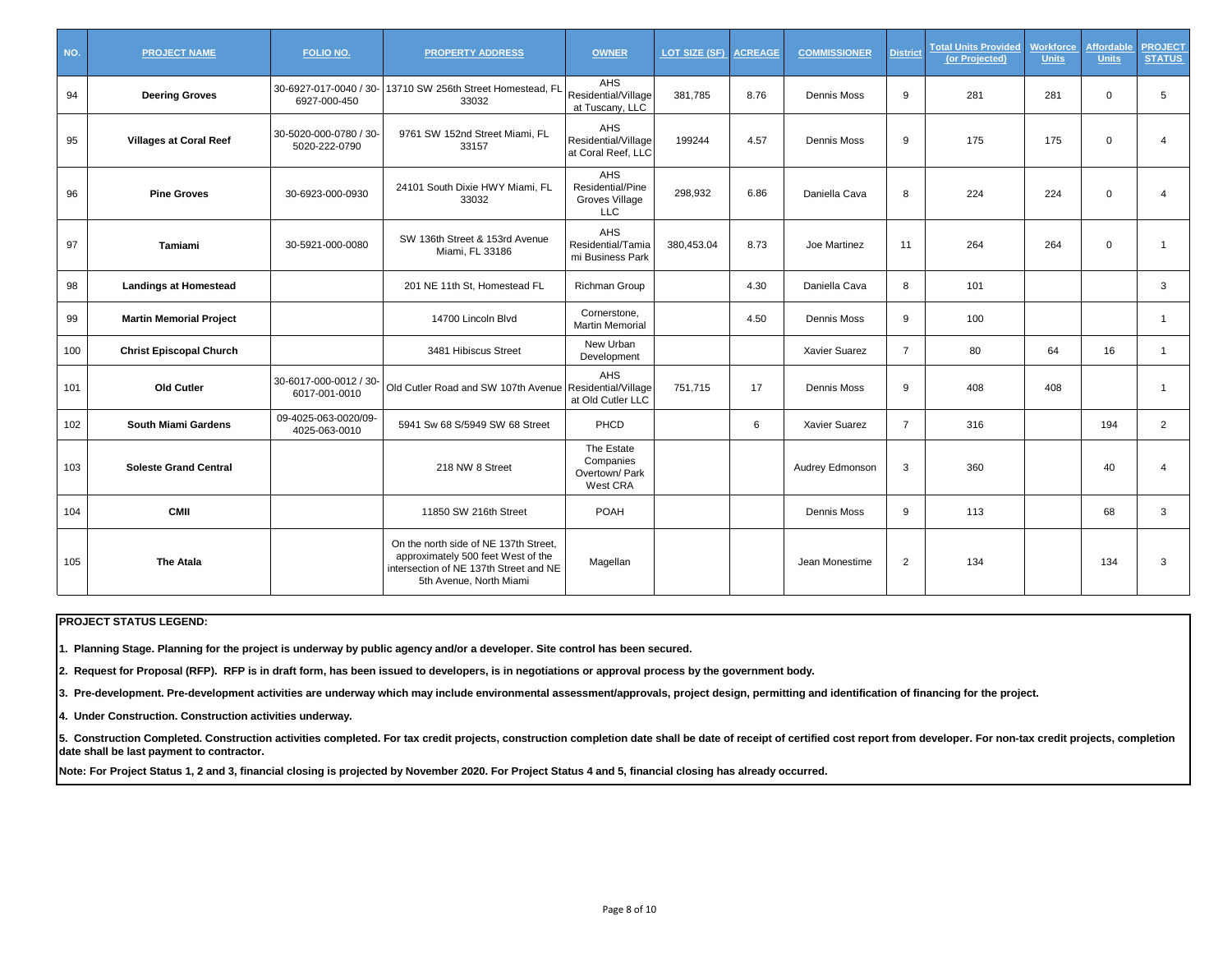| NO. | <b>PROJECT NAME</b>            | <b>FOLIO NO.</b>                        | <b>PROPERTY ADDRESS</b>                                                                                                                          | <b>OWNER</b>                                                   | LOT SIZE (SF) | <b>ACREAGE</b> | <b>COMMISSIONER</b>  | <b>District</b> | <b>Total Units Provided</b><br>(or Projected) | <b>Workforce</b><br><b>Units</b> | <b>Affordable</b><br><b>Units</b> | <b>PROJECT</b><br><b>STATUS</b> |
|-----|--------------------------------|-----------------------------------------|--------------------------------------------------------------------------------------------------------------------------------------------------|----------------------------------------------------------------|---------------|----------------|----------------------|-----------------|-----------------------------------------------|----------------------------------|-----------------------------------|---------------------------------|
| 94  | <b>Deering Groves</b>          | 6927-000-450                            | 30-6927-017-0040 / 30- 13710 SW 256th Street Homestead, FL<br>33032                                                                              | <b>AHS</b><br>Residential/Village<br>at Tuscany, LLC           | 381,785       | 8.76           | Dennis Moss          | 9               | 281                                           | 281                              | $\mathbf 0$                       | 5                               |
| 95  | <b>Villages at Coral Reef</b>  | 30-5020-000-0780 / 30-<br>5020-222-0790 | 9761 SW 152nd Street Miami, FL<br>33157                                                                                                          | AHS<br>Residential/Village<br>at Coral Reef, LLC               | 199244        | 4.57           | Dennis Moss          | 9               | 175                                           | 175                              | $\mathbf 0$                       | 4                               |
| 96  | <b>Pine Groves</b>             | 30-6923-000-0930                        | 24101 South Dixie HWY Miami, FL<br>33032                                                                                                         | <b>AHS</b><br>Residential/Pine<br>Groves Village<br><b>LLC</b> | 298,932       | 6.86           | Daniella Cava        | 8               | 224                                           | 224                              | $\mathbf 0$                       | 4                               |
| 97  | Tamiami                        | 30-5921-000-0080                        | SW 136th Street & 153rd Avenue<br>Miami, FL 33186                                                                                                | <b>AHS</b><br>Residential/Tamia<br>mi Business Park            | 380.453.04    | 8.73           | Joe Martinez         | 11              | 264                                           | 264                              | $\mathbf 0$                       |                                 |
| 98  | <b>Landings at Homestead</b>   |                                         | 201 NE 11th St, Homestead FL                                                                                                                     | Richman Group                                                  |               | 4.30           | Daniella Cava        | 8               | 101                                           |                                  |                                   | 3                               |
| 99  | <b>Martin Memorial Project</b> |                                         | 14700 Lincoln Blvd                                                                                                                               | Cornerstone,<br><b>Martin Memorial</b>                         |               | 4.50           | Dennis Moss          | 9               | 100                                           |                                  |                                   | $\mathbf 1$                     |
| 100 | <b>Christ Episcopal Church</b> |                                         | 3481 Hibiscus Street                                                                                                                             | New Urban<br>Development                                       |               |                | Xavier Suarez        | $\overline{7}$  | 80                                            | 64                               | 16                                | $\mathbf{1}$                    |
| 101 | Old Cutler                     | 30-6017-000-0012 / 30-<br>6017-001-0010 | Old Cutler Road and SW 107th Avenue Residential/Village                                                                                          | <b>AHS</b><br>at Old Cutler LLC                                | 751,715       | 17             | Dennis Moss          | 9               | 408                                           | 408                              |                                   | -1                              |
| 102 | <b>South Miami Gardens</b>     | 09-4025-063-0020/09-<br>4025-063-0010   | 5941 Sw 68 S/5949 SW 68 Street                                                                                                                   | PHCD                                                           |               | 6              | <b>Xavier Suarez</b> | $\overline{7}$  | 316                                           |                                  | 194                               | $\overline{2}$                  |
| 103 | <b>Soleste Grand Central</b>   |                                         | 218 NW 8 Street                                                                                                                                  | The Estate<br>Companies<br>Overtown/ Park<br>West CRA          |               |                | Audrey Edmonson      | 3               | 360                                           |                                  | 40                                | 4                               |
| 104 | <b>CMII</b>                    |                                         | 11850 SW 216th Street                                                                                                                            | POAH                                                           |               |                | Dennis Moss          | 9               | 113                                           |                                  | 68                                | 3                               |
| 105 | The Atala                      |                                         | On the north side of NE 137th Street.<br>approximately 500 feet West of the<br>intersection of NE 137th Street and NE<br>5th Avenue, North Miami | Magellan                                                       |               |                | Jean Monestime       | $\overline{2}$  | 134                                           |                                  | 134                               | 3                               |

**1. Planning Stage. Planning for the project is underway by public agency and/or a developer. Site control has been secured.**

**2. Request for Proposal (RFP). RFP is in draft form, has been issued to developers, is in negotiations or approval process by the government body.**

**3. Pre-development. Pre-development activities are underway which may include environmental assessment/approvals, project design, permitting and identification of financing for the project.**

**4. Under Construction. Construction activities underway.**

5. Construction Completed. Construction activities completed. For tax credit projects, construction completion date shall be date of receipt of certified cost report from developer. For non-tax credit projects, completion **date shall be last payment to contractor.**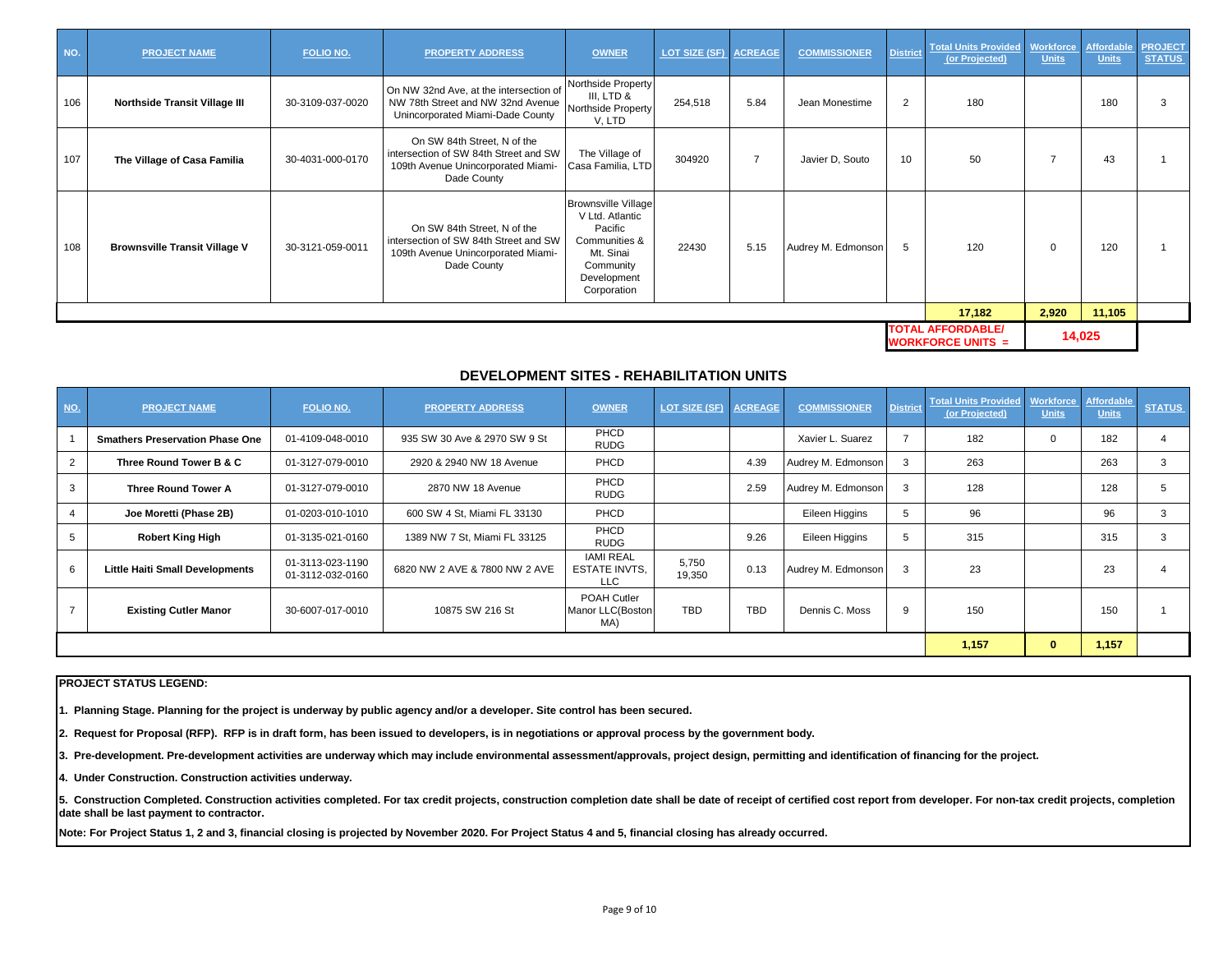| NO. | <b>PROJECT NAME</b>                  | FOLIO NO.        | <b>PROPERTY ADDRESS</b>                                                                                                   | <b>OWNER</b>                                                                                                                      | LOT SIZE (SF) ACREAGE |                | <b>COMMISSIONER</b> | <b>District</b> | Total Units Provided   Workforce   Affordable   PROJECT<br>(or Projected) | <b>Units</b> | <b>Units</b> | <b>STATUS</b> |
|-----|--------------------------------------|------------------|---------------------------------------------------------------------------------------------------------------------------|-----------------------------------------------------------------------------------------------------------------------------------|-----------------------|----------------|---------------------|-----------------|---------------------------------------------------------------------------|--------------|--------------|---------------|
| 106 | <b>Northside Transit Village III</b> | 30-3109-037-0020 | On NW 32nd Ave, at the intersection of<br>NW 78th Street and NW 32nd Avenue<br>Unincorporated Miami-Dade County           | Northside Property<br>III, LTD &<br>Northside Property<br>V, LTD                                                                  | 254,518               | 5.84           | Jean Monestime      | 2               | 180                                                                       |              | 180          |               |
| 107 | The Village of Casa Familia          | 30-4031-000-0170 | On SW 84th Street, N of the<br>intersection of SW 84th Street and SW<br>109th Avenue Unincorporated Miami-<br>Dade County | The Village of<br>Casa Familia, LTD                                                                                               | 304920                | $\overline{7}$ | Javier D, Souto     | 10              | 50                                                                        |              | 43           |               |
| 108 | <b>Brownsville Transit Village V</b> | 30-3121-059-0011 | On SW 84th Street, N of the<br>intersection of SW 84th Street and SW<br>109th Avenue Unincorporated Miami-<br>Dade County | <b>Brownsville Village</b><br>V Ltd. Atlantic<br>Pacific<br>Communities &<br>Mt. Sinai<br>Community<br>Development<br>Corporation | 22430                 | 5.15           | Audrey M. Edmonson  | 5               | 120                                                                       | $\Omega$     | 120          |               |
|     |                                      |                  |                                                                                                                           |                                                                                                                                   |                       |                |                     |                 | 17,182                                                                    | 2,920        | 11,105       |               |
|     |                                      |                  |                                                                                                                           |                                                                                                                                   |                       |                |                     |                 | <b>TOTAL AFFORDABLE/</b><br><b>WORKFORCE UNITS <math>=</math></b>         |              | 14,025       |               |

# **DEVELOPMENT SITES - REHABILITATION UNITS**

| NO. | <b>PROJECT NAME</b>                    | FOLIO NO.                            | <b>PROPERTY ADDRESS</b>       | <b>OWNER</b>                                           | LOT SIZE (SF)   | <b>ACREAGE</b> | <b>COMMISSIONER</b> | <b>District</b> | <b>Total Units Provided</b><br>(or Projected) | Workforce<br><b>Units</b> | <b>Affordable</b><br><b>Units</b> | <b>STATUS</b> |
|-----|----------------------------------------|--------------------------------------|-------------------------------|--------------------------------------------------------|-----------------|----------------|---------------------|-----------------|-----------------------------------------------|---------------------------|-----------------------------------|---------------|
|     | <b>Smathers Preservation Phase One</b> | 01-4109-048-0010                     | 935 SW 30 Ave & 2970 SW 9 St  | PHCD<br><b>RUDG</b>                                    |                 |                | Xavier L. Suarez    |                 | 182                                           |                           | 182                               |               |
|     | Three Round Tower B & C                | 01-3127-079-0010                     | 2920 & 2940 NW 18 Avenue      | PHCD                                                   |                 | 4.39           | Audrey M. Edmonson  |                 | 263                                           |                           | 263                               |               |
|     | <b>Three Round Tower A</b>             | 01-3127-079-0010                     | 2870 NW 18 Avenue             | PHCD<br><b>RUDG</b>                                    |                 | 2.59           | Audrey M. Edmonson  | 3               | 128                                           |                           | 128                               |               |
|     | Joe Moretti (Phase 2B)                 | 01-0203-010-1010                     | 600 SW 4 St, Miami FL 33130   | PHCD                                                   |                 |                | Eileen Higgins      | $\mathcal{D}$   | 96                                            |                           | 96                                |               |
|     | <b>Robert King High</b>                | 01-3135-021-0160                     | 1389 NW 7 St, Miami FL 33125  | PHCD<br><b>RUDG</b>                                    |                 | 9.26           | Eileen Higgins      | 5               | 315                                           |                           | 315                               |               |
| 6   | <b>Little Haiti Small Developments</b> | 01-3113-023-1190<br>01-3112-032-0160 | 6820 NW 2 AVE & 7800 NW 2 AVE | <b>IAMI REAL</b><br><b>ESTATE INVTS.</b><br><b>LLC</b> | 5,750<br>19,350 | 0.13           | Audrey M. Edmonson  | 3               | 23                                            |                           | 23                                |               |
|     | <b>Existing Cutler Manor</b>           | 30-6007-017-0010                     | 10875 SW 216 St               | POAH Cutler<br>Manor LLC(Boston<br>MA)                 | <b>TBD</b>      | <b>TBD</b>     | Dennis C. Moss      | 9               | 150                                           |                           | 150                               |               |
|     |                                        |                                      | 1,157                         |                                                        | 1,157           |                |                     |                 |                                               |                           |                                   |               |

## **PROJECT STATUS LEGEND:**

**1. Planning Stage. Planning for the project is underway by public agency and/or a developer. Site control has been secured.**

**2. Request for Proposal (RFP). RFP is in draft form, has been issued to developers, is in negotiations or approval process by the government body.**

**3. Pre-development. Pre-development activities are underway which may include environmental assessment/approvals, project design, permitting and identification of financing for the project.**

**4. Under Construction. Construction activities underway.**

5. Construction Completed. Construction activities completed. For tax credit projects, construction completion date shall be date of receipt of certified cost report from developer. For non-tax credit projects, completion **date shall be last payment to contractor.**